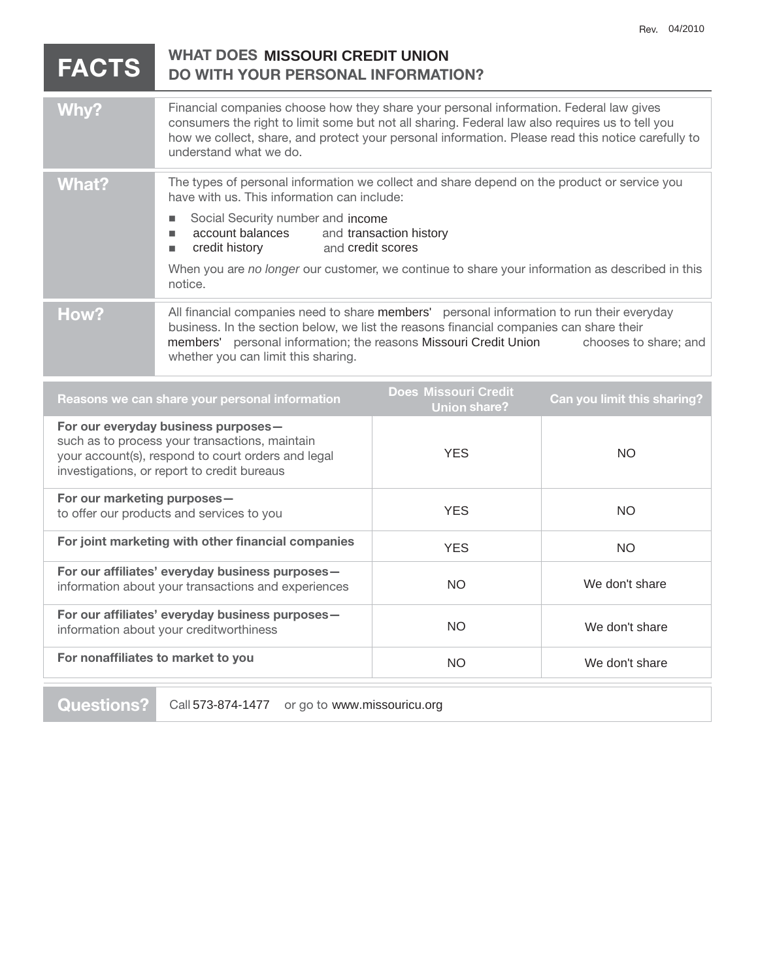|                                                                                                                                                                                            | <b>FACTS</b> | <b>WHAT DOES MISSOURI CREDIT UNION</b><br><b>DO WITH YOUR PERSONAL INFORMATION?</b>                                                                                                                                                                                                                                       |                                                    |                                    |
|--------------------------------------------------------------------------------------------------------------------------------------------------------------------------------------------|--------------|---------------------------------------------------------------------------------------------------------------------------------------------------------------------------------------------------------------------------------------------------------------------------------------------------------------------------|----------------------------------------------------|------------------------------------|
|                                                                                                                                                                                            | Why?         | Financial companies choose how they share your personal information. Federal law gives<br>consumers the right to limit some but not all sharing. Federal law also requires us to tell you<br>how we collect, share, and protect your personal information. Please read this notice carefully to<br>understand what we do. |                                                    |                                    |
|                                                                                                                                                                                            | <b>What?</b> | The types of personal information we collect and share depend on the product or service you<br>have with us. This information can include:                                                                                                                                                                                |                                                    |                                    |
|                                                                                                                                                                                            |              | Social Security number and income<br>п<br>account balances<br>ш<br>credit history<br>and credit scores<br>п                                                                                                                                                                                                               | and transaction history                            |                                    |
|                                                                                                                                                                                            |              | When you are no longer our customer, we continue to share your information as described in this<br>notice.                                                                                                                                                                                                                |                                                    |                                    |
|                                                                                                                                                                                            | How?         | All financial companies need to share members' personal information to run their everyday<br>business. In the section below, we list the reasons financial companies can share their<br>members' personal information; the reasons Missouri Credit Union<br>chooses to share; and<br>whether you can limit this sharing.  |                                                    |                                    |
|                                                                                                                                                                                            |              | Reasons we can share your personal information                                                                                                                                                                                                                                                                            | <b>Does Missouri Credit</b><br><b>Union share?</b> | <b>Can you limit this sharing?</b> |
| For our everyday business purposes-<br>such as to process your transactions, maintain<br>your account(s), respond to court orders and legal<br>investigations, or report to credit bureaus |              | <b>YES</b>                                                                                                                                                                                                                                                                                                                | <b>NO</b>                                          |                                    |
| For our marketing purposes-<br>to offer our products and services to you                                                                                                                   |              | <b>YES</b>                                                                                                                                                                                                                                                                                                                | NO.                                                |                                    |
| For joint marketing with other financial companies                                                                                                                                         |              | <b>YES</b>                                                                                                                                                                                                                                                                                                                | <b>NO</b>                                          |                                    |
| For our affiliates' everyday business purposes-<br>information about your transactions and experiences                                                                                     |              | NO.                                                                                                                                                                                                                                                                                                                       | We don't share                                     |                                    |
| For our affiliates' everyday business purposes-<br>information about your creditworthiness                                                                                                 |              |                                                                                                                                                                                                                                                                                                                           | <b>NO</b>                                          | We don't share                     |
| For nonaffiliates to market to you                                                                                                                                                         |              | <b>NO</b>                                                                                                                                                                                                                                                                                                                 | We don't share                                     |                                    |

**Questions?** Call 573-874-1477 or go to www.missouricu.org